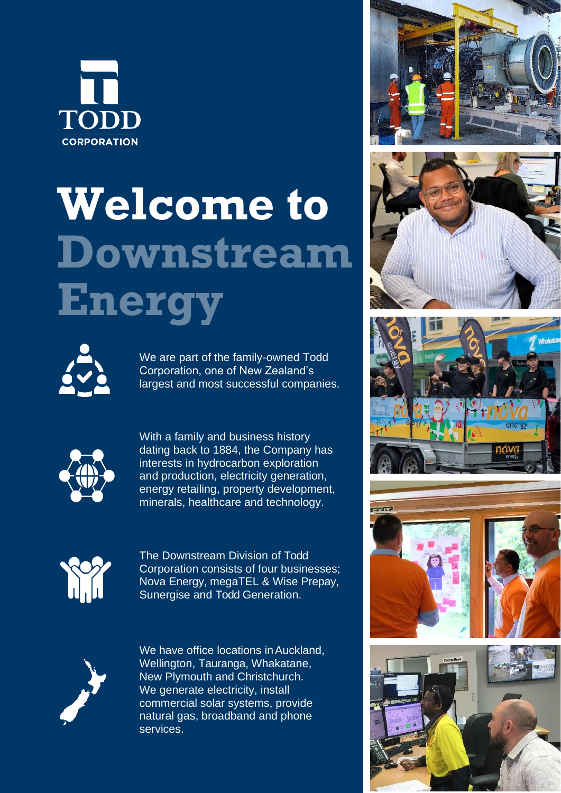

## **Welcome to Downstream Energy**



We are part of the family-owned Todd Corporation, one of New Zealand's largest and most successful companies.



With a family and business history dating back to 1884, the Company has interests in hydrocarbon exploration and production, electricity generation, energy retailing, property development, minerals, healthcare and technology.



The Downstream Division of Todd Corporation consists of four businesses; Nova Energy, megaTEL & Wise Prepay, Sunergise and Todd Generation.



We have office locations in Auckland, Wellington, Tauranga, Whakatane, New Plymouth and Christchurch. We generate electricity, install commercial solar systems, provide natural gas, broadband and phone services.









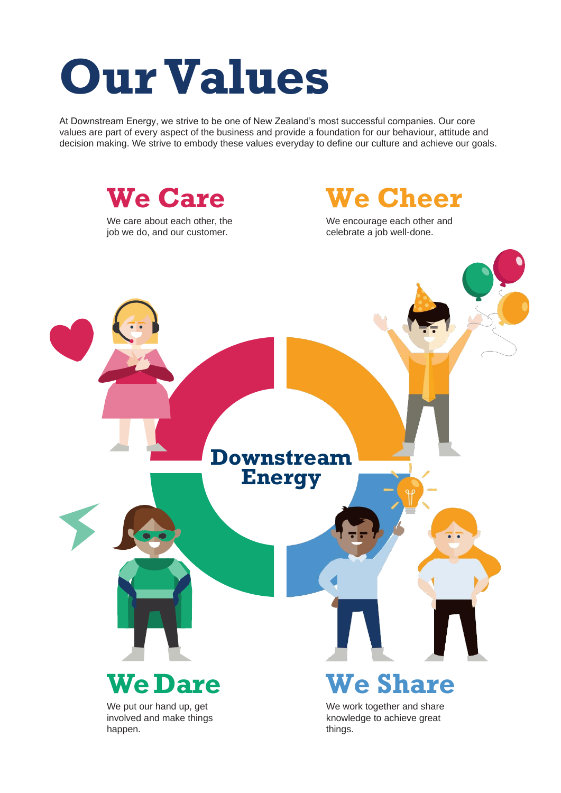### **OurValues**

At Downstream Energy, we strive to be one of New Zealand's most successful companies. Our core values are part of every aspect of the business and provide a foundation for our behaviour, attitude and decision making. We strive to embody these values everyday to define our culture and achieve our goals.

**We Care**

We care about each other, the job we do, and our customer.

**We Cheer**

We encourage each other and celebrate a job well-done.

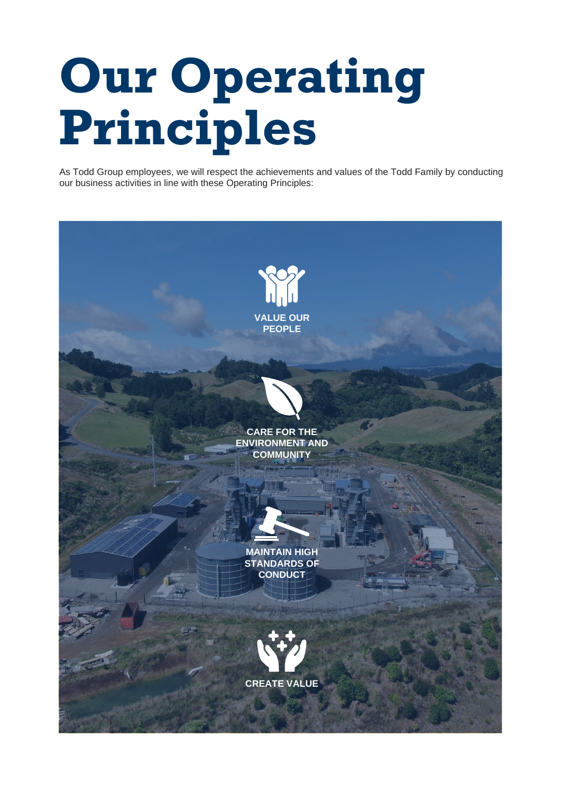# **Our Operating Principles**

As Todd Group employees, we will respect the achievements and values of the Todd Family by conducting our business activities in line with these Operating Principles: